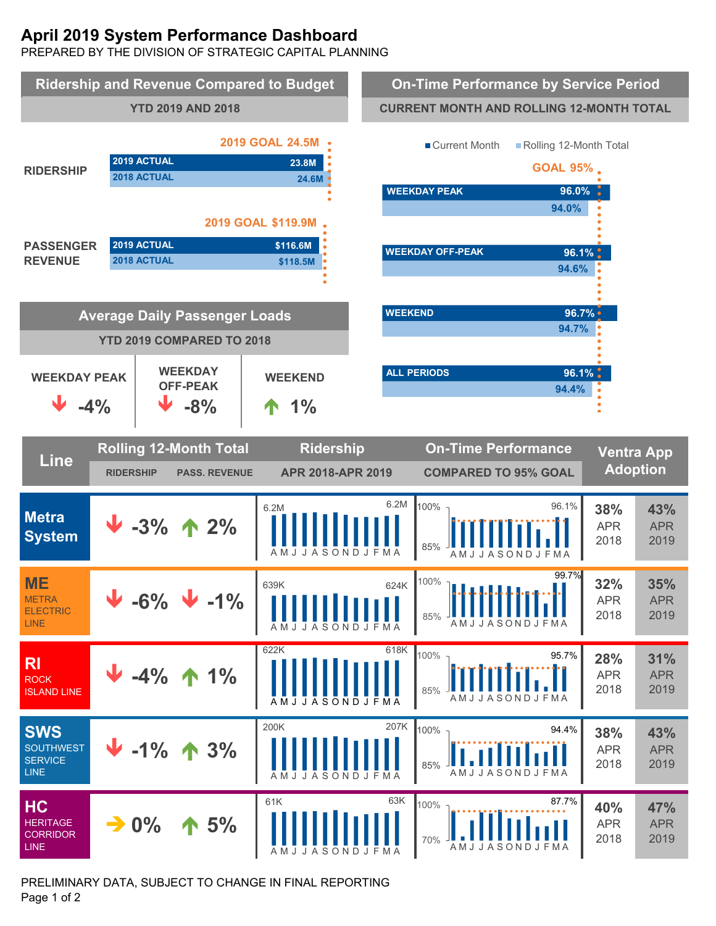# **April 2019 System Performance Dashboard**

PREPARED BY THE DIVISION OF STRATEGIC CAPITAL PLANNING



PRELIMINARY DATA, SUBJECT TO CHANGE IN FINAL REPORTING Page 1 of 2